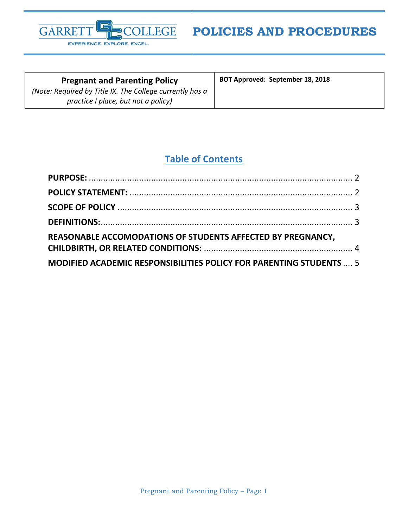

**Pregnant and Parenting Policy** *(Note: Required by Title IX. The College currently has a practice I place, but not a policy)*

**BOT Approved: September 18, 2018**

# **Table of Contents**

| DEFINITIONS: 3                                                      |  |
|---------------------------------------------------------------------|--|
| REASONABLE ACCOMODATIONS OF STUDENTS AFFECTED BY PREGNANCY,         |  |
|                                                                     |  |
| MODIFIED ACADEMIC RESPONSIBILITIES POLICY FOR PARENTING STUDENTS  5 |  |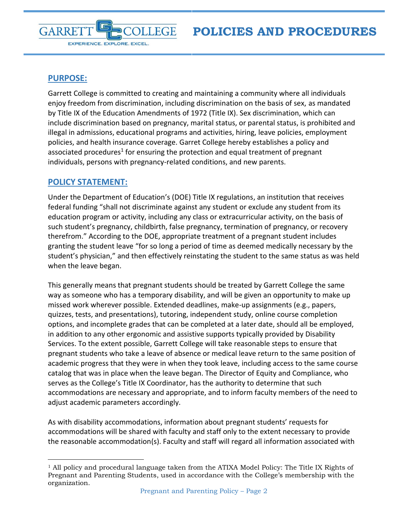<span id="page-1-0"></span>

EXPERIENCE. EXPLORE. EXCEL.

**GARRE** 

Garrett College is committed to creating and maintaining a community where all individuals enjoy freedom from discrimination, including discrimination on the basis of sex, as mandated by Title IX of the Education Amendments of 1972 (Title IX). Sex discrimination, which can include discrimination based on pregnancy, marital status, or parental status, is prohibited and illegal in admissions, educational programs and activities, hiring, leave policies, employment policies, and health insurance coverage. Garret College hereby establishes a policy and associated procedures<sup>1</sup> for ensuring the protection and equal treatment of pregnant individuals, persons with pregnancy-related conditions, and new parents.

#### <span id="page-1-1"></span>**POLICY STATEMENT:**

 $\overline{a}$ 

Under the Department of Education's (DOE) Title IX regulations, an institution that receives federal funding "shall not discriminate against any student or exclude any student from its education program or activity, including any class or extracurricular activity, on the basis of such student's pregnancy, childbirth, false pregnancy, termination of pregnancy, or recovery therefrom." According to the DOE, appropriate treatment of a pregnant student includes granting the student leave "for so long a period of time as deemed medically necessary by the student's physician," and then effectively reinstating the student to the same status as was held when the leave began.

This generally means that pregnant students should be treated by Garrett College the same way as someone who has a temporary disability, and will be given an opportunity to make up missed work wherever possible. Extended deadlines, make-up assignments (e.g., papers, quizzes, tests, and presentations), tutoring, independent study, online course completion options, and incomplete grades that can be completed at a later date, should all be employed, in addition to any other ergonomic and assistive supports typically provided by Disability Services. To the extent possible, Garrett College will take reasonable steps to ensure that pregnant students who take a leave of absence or medical leave return to the same position of academic progress that they were in when they took leave, including access to the same course catalog that was in place when the leave began. The Director of Equity and Compliance, who serves as the College's Title IX Coordinator, has the authority to determine that such accommodations are necessary and appropriate, and to inform faculty members of the need to adjust academic parameters accordingly.

As with disability accommodations, information about pregnant students' requests for accommodations will be shared with faculty and staff only to the extent necessary to provide the reasonable accommodation(s). Faculty and staff will regard all information associated with

 $1$  All policy and procedural language taken from the ATIXA Model Policy: The Title IX Rights of Pregnant and Parenting Students, used in accordance with the College's membership with the organization.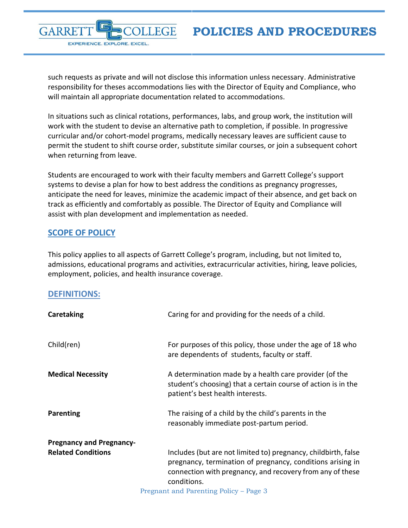**POLICIES AND PROCEDURES**

such requests as private and will not disclose this information unless necessary. Administrative responsibility for theses accommodations lies with the Director of Equity and Compliance, who will maintain all appropriate documentation related to accommodations.

**FGE** 

In situations such as clinical rotations, performances, labs, and group work, the institution will work with the student to devise an alternative path to completion, if possible. In progressive curricular and/or cohort-model programs, medically necessary leaves are sufficient cause to permit the student to shift course order, substitute similar courses, or join a subsequent cohort when returning from leave.

Students are encouraged to work with their faculty members and Garrett College's support systems to devise a plan for how to best address the conditions as pregnancy progresses, anticipate the need for leaves, minimize the academic impact of their absence, and get back on track as efficiently and comfortably as possible. The Director of Equity and Compliance will assist with plan development and implementation as needed.

### <span id="page-2-0"></span>**SCOPE OF POLICY**

GARRE

EXPERIENCE. EXPLORE. EXCEL.

This policy applies to all aspects of Garrett College's program, including, but not limited to, admissions, educational programs and activities, extracurricular activities, hiring, leave policies, employment, policies, and health insurance coverage.

#### <span id="page-2-1"></span>**DEFINITIONS:**

| Caretaking                      | Caring for and providing for the needs of a child.                                                                                                                                                                                                 |
|---------------------------------|----------------------------------------------------------------------------------------------------------------------------------------------------------------------------------------------------------------------------------------------------|
| Child(ren)                      | For purposes of this policy, those under the age of 18 who<br>are dependents of students, faculty or staff.                                                                                                                                        |
| <b>Medical Necessity</b>        | A determination made by a health care provider (of the<br>student's choosing) that a certain course of action is in the<br>patient's best health interests.                                                                                        |
| Parenting                       | The raising of a child by the child's parents in the<br>reasonably immediate post-partum period.                                                                                                                                                   |
| <b>Pregnancy and Pregnancy-</b> |                                                                                                                                                                                                                                                    |
| <b>Related Conditions</b>       | Includes (but are not limited to) pregnancy, childbirth, false<br>pregnancy, termination of pregnancy, conditions arising in<br>connection with pregnancy, and recovery from any of these<br>conditions.<br>Pregnant and Parenting Policy - Page 3 |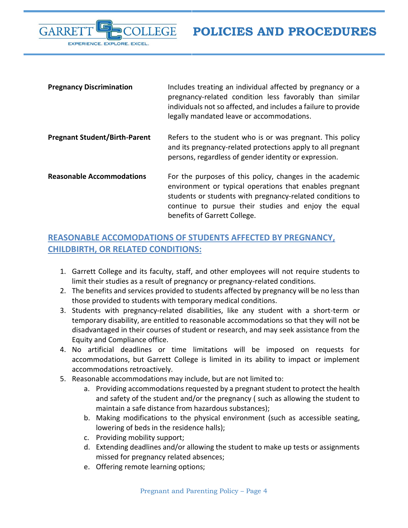**POLICIES AND PROCEDURES**



| <b>Pregnancy Discrimination</b>      | Includes treating an individual affected by pregnancy or a<br>pregnancy-related condition less favorably than similar<br>individuals not so affected, and includes a failure to provide<br>legally mandated leave or accommodations.                                     |
|--------------------------------------|--------------------------------------------------------------------------------------------------------------------------------------------------------------------------------------------------------------------------------------------------------------------------|
| <b>Pregnant Student/Birth-Parent</b> | Refers to the student who is or was pregnant. This policy<br>and its pregnancy-related protections apply to all pregnant<br>persons, regardless of gender identity or expression.                                                                                        |
| <b>Reasonable Accommodations</b>     | For the purposes of this policy, changes in the academic<br>environment or typical operations that enables pregnant<br>students or students with pregnancy-related conditions to<br>continue to pursue their studies and enjoy the equal<br>benefits of Garrett College. |

# <span id="page-3-0"></span>**REASONABLE ACCOMODATIONS OF STUDENTS AFFECTED BY PREGNANCY, CHILDBIRTH, OR RELATED CONDITIONS:**

- 1. Garrett College and its faculty, staff, and other employees will not require students to limit their studies as a result of pregnancy or pregnancy-related conditions.
- 2. The benefits and services provided to students affected by pregnancy will be no less than those provided to students with temporary medical conditions.
- 3. Students with pregnancy-related disabilities, like any student with a short-term or temporary disability, are entitled to reasonable accommodations so that they will not be disadvantaged in their courses of student or research, and may seek assistance from the Equity and Compliance office.
- 4. No artificial deadlines or time limitations will be imposed on requests for accommodations, but Garrett College is limited in its ability to impact or implement accommodations retroactively.
- 5. Reasonable accommodations may include, but are not limited to:
	- a. Providing accommodations requested by a pregnant student to protect the health and safety of the student and/or the pregnancy ( such as allowing the student to maintain a safe distance from hazardous substances);
	- b. Making modifications to the physical environment (such as accessible seating, lowering of beds in the residence halls);
	- c. Providing mobility support;
	- d. Extending deadlines and/or allowing the student to make up tests or assignments missed for pregnancy related absences;
	- e. Offering remote learning options;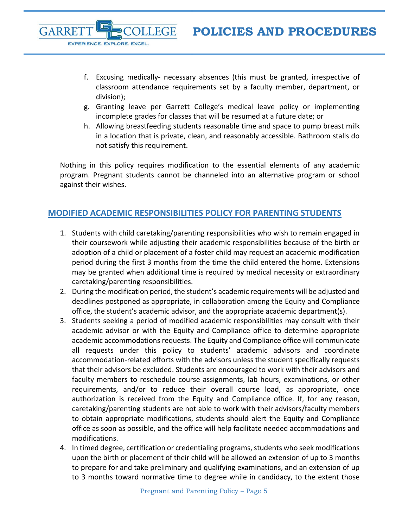- f. Excusing medically- necessary absences (this must be granted, irrespective of classroom attendance requirements set by a faculty member, department, or division);
- g. Granting leave per Garrett College's medical leave policy or implementing incomplete grades for classes that will be resumed at a future date; or
- h. Allowing breastfeeding students reasonable time and space to pump breast milk in a location that is private, clean, and reasonably accessible. Bathroom stalls do not satisfy this requirement.

Nothing in this policy requires modification to the essential elements of any academic program. Pregnant students cannot be channeled into an alternative program or school against their wishes.

# <span id="page-4-0"></span>**MODIFIED ACADEMIC RESPONSIBILITIES POLICY FOR PARENTING STUDENTS**

**LEGE** 

**GARRE** 

EXPERIENCE. EXPLORE. EXCEL.

- 1. Students with child caretaking/parenting responsibilities who wish to remain engaged in their coursework while adjusting their academic responsibilities because of the birth or adoption of a child or placement of a foster child may request an academic modification period during the first 3 months from the time the child entered the home. Extensions may be granted when additional time is required by medical necessity or extraordinary caretaking/parenting responsibilities.
- 2. During the modification period, the student's academic requirements will be adjusted and deadlines postponed as appropriate, in collaboration among the Equity and Compliance office, the student's academic advisor, and the appropriate academic department(s).
- 3. Students seeking a period of modified academic responsibilities may consult with their academic advisor or with the Equity and Compliance office to determine appropriate academic accommodations requests. The Equity and Compliance office will communicate all requests under this policy to students' academic advisors and coordinate accommodation-related efforts with the advisors unless the student specifically requests that their advisors be excluded. Students are encouraged to work with their advisors and faculty members to reschedule course assignments, lab hours, examinations, or other requirements, and/or to reduce their overall course load, as appropriate, once authorization is received from the Equity and Compliance office. If, for any reason, caretaking/parenting students are not able to work with their advisors/faculty members to obtain appropriate modifications, students should alert the Equity and Compliance office as soon as possible, and the office will help facilitate needed accommodations and modifications.
- 4. In timed degree, certification or credentialing programs, students who seek modifications upon the birth or placement of their child will be allowed an extension of up to 3 months to prepare for and take preliminary and qualifying examinations, and an extension of up to 3 months toward normative time to degree while in candidacy, to the extent those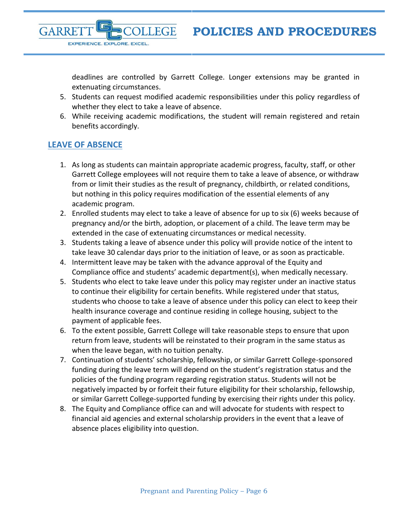deadlines are controlled by Garrett College. Longer extensions may be granted in extenuating circumstances.

- 5. Students can request modified academic responsibilities under this policy regardless of whether they elect to take a leave of absence.
- 6. While receiving academic modifications, the student will remain registered and retain benefits accordingly.

### **LEAVE OF ABSENCE**

EXPERIENCE. EXPLORE. EXCEL.

**GARRE** 

- 1. As long as students can maintain appropriate academic progress, faculty, staff, or other Garrett College employees will not require them to take a leave of absence, or withdraw from or limit their studies as the result of pregnancy, childbirth, or related conditions, but nothing in this policy requires modification of the essential elements of any academic program.
- 2. Enrolled students may elect to take a leave of absence for up to six (6) weeks because of pregnancy and/or the birth, adoption, or placement of a child. The leave term may be extended in the case of extenuating circumstances or medical necessity.
- 3. Students taking a leave of absence under this policy will provide notice of the intent to take leave 30 calendar days prior to the initiation of leave, or as soon as practicable.
- 4. Intermittent leave may be taken with the advance approval of the Equity and Compliance office and students' academic department(s), when medically necessary.
- 5. Students who elect to take leave under this policy may register under an inactive status to continue their eligibility for certain benefits. While registered under that status, students who choose to take a leave of absence under this policy can elect to keep their health insurance coverage and continue residing in college housing, subject to the payment of applicable fees.
- 6. To the extent possible, Garrett College will take reasonable steps to ensure that upon return from leave, students will be reinstated to their program in the same status as when the leave began, with no tuition penalty.
- 7. Continuation of students' scholarship, fellowship, or similar Garrett College-sponsored funding during the leave term will depend on the student's registration status and the policies of the funding program regarding registration status. Students will not be negatively impacted by or forfeit their future eligibility for their scholarship, fellowship, or similar Garrett College-supported funding by exercising their rights under this policy.
- 8. The Equity and Compliance office can and will advocate for students with respect to financial aid agencies and external scholarship providers in the event that a leave of absence places eligibility into question.